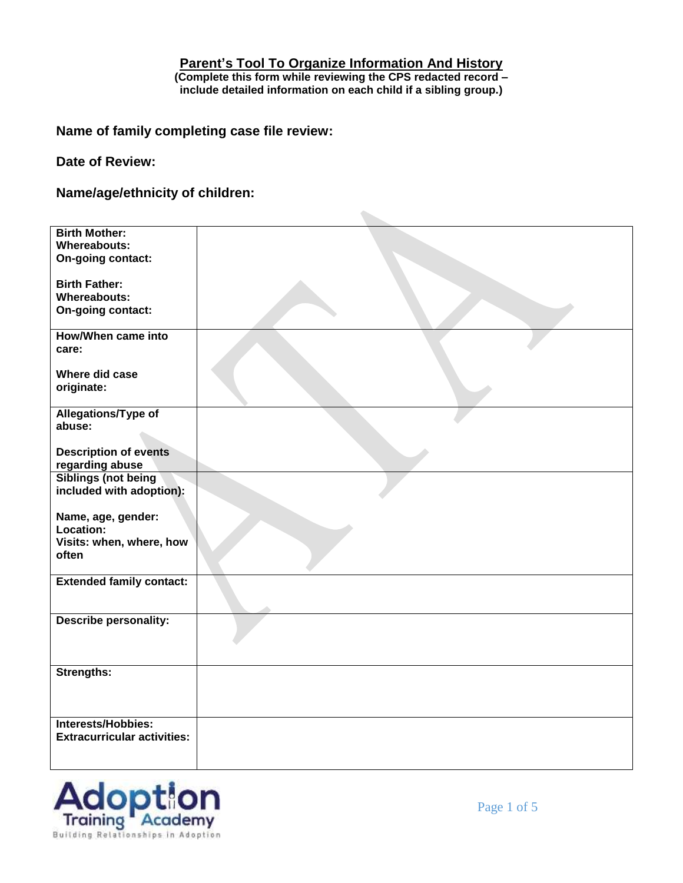## **Parent's Tool To Organize Information And History (Complete this form while reviewing the CPS redacted record – include detailed information on each child if a sibling group.)**

 $\sim$ 

**Name of family completing case file review:**

**Date of Review:** 

**Name/age/ethnicity of children:**

| <b>Birth Mother:</b><br><b>Whereabouts:</b><br>On-going contact:     |  |
|----------------------------------------------------------------------|--|
| <b>Birth Father:</b><br><b>Whereabouts:</b><br>On-going contact:     |  |
| <b>How/When came into</b><br>care:                                   |  |
| Where did case<br>originate:                                         |  |
| Allegations/Type of<br>abuse:                                        |  |
| <b>Description of events</b><br>regarding abuse                      |  |
| <b>Siblings (not being</b><br>included with adoption):               |  |
| Name, age, gender:<br>Location:<br>Visits: when, where, how<br>often |  |
| <b>Extended family contact:</b>                                      |  |
| <b>Describe personality:</b>                                         |  |
| <b>Strengths:</b>                                                    |  |
| Interests/Hobbies:<br><b>Extracurricular activities:</b>             |  |

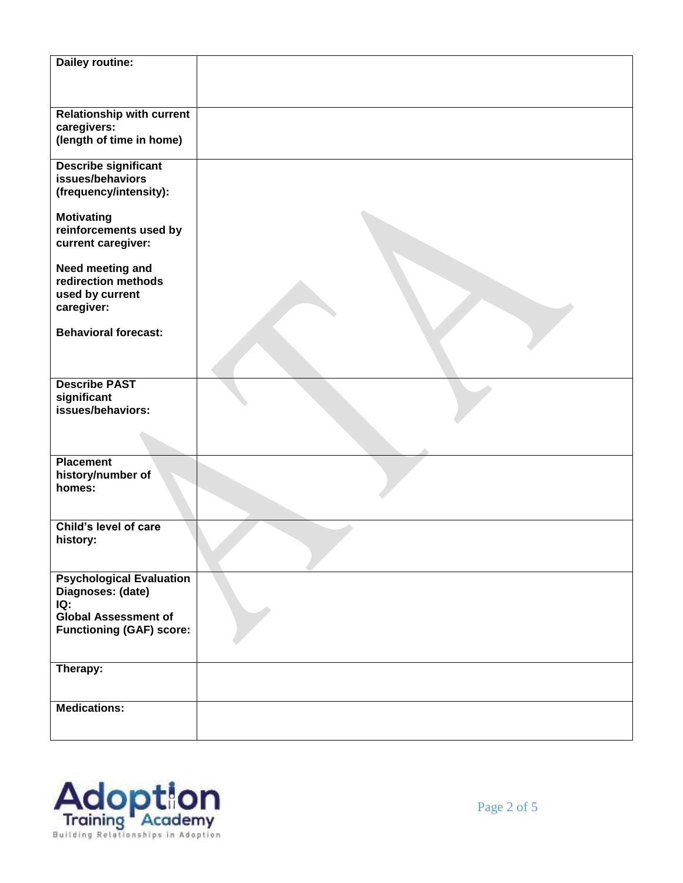| Dailey routine:                                                                            |  |
|--------------------------------------------------------------------------------------------|--|
|                                                                                            |  |
| <b>Relationship with current</b><br>caregivers:<br>(length of time in home)                |  |
| <b>Describe significant</b><br>issues/behaviors<br>(frequency/intensity):                  |  |
| <b>Motivating</b><br>reinforcements used by<br>current caregiver:                          |  |
| Need meeting and<br>redirection methods<br>used by current<br>caregiver:                   |  |
| <b>Behavioral forecast:</b>                                                                |  |
|                                                                                            |  |
| <b>Describe PAST</b><br>significant<br>issues/behaviors:                                   |  |
|                                                                                            |  |
| <b>Placement</b><br>history/number of<br>homes:                                            |  |
| Child's level of care<br>history:                                                          |  |
| <b>Psychological Evaluation</b><br>Diagnoses: (date)<br>IQ:<br><b>Global Assessment of</b> |  |
| <b>Functioning (GAF) score:</b>                                                            |  |
| Therapy:                                                                                   |  |
| <b>Medications:</b>                                                                        |  |
|                                                                                            |  |

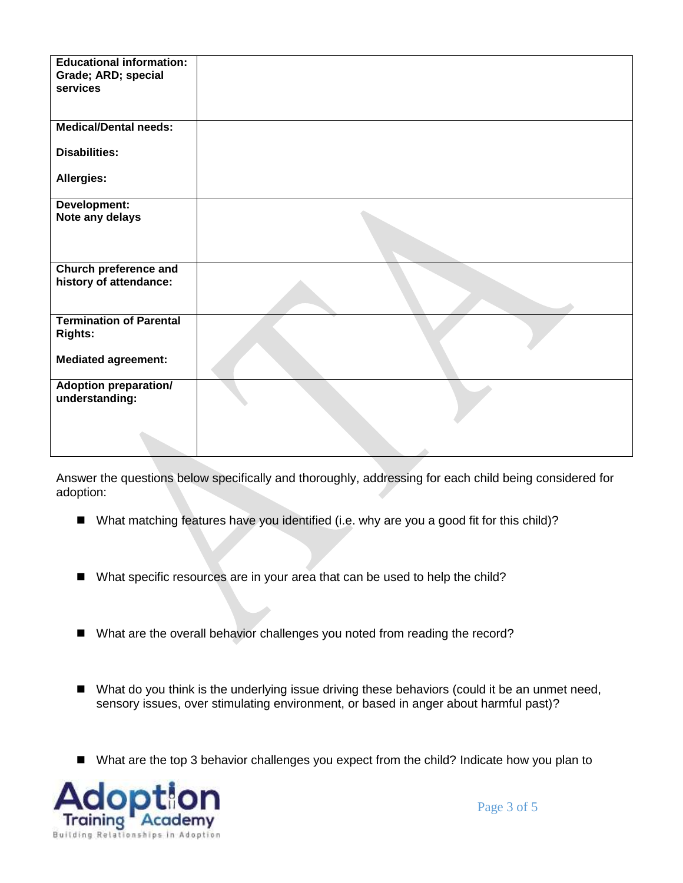| <b>Educational information:</b><br>Grade; ARD; special<br>services |  |
|--------------------------------------------------------------------|--|
| <b>Medical/Dental needs:</b>                                       |  |
| <b>Disabilities:</b>                                               |  |
| Allergies:                                                         |  |
| Development:<br>Note any delays                                    |  |
| <b>Church preference and</b><br>history of attendance:             |  |
| <b>Termination of Parental</b><br><b>Rights:</b>                   |  |
| <b>Mediated agreement:</b>                                         |  |
| <b>Adoption preparation/</b><br>understanding:                     |  |
|                                                                    |  |

Answer the questions below specifically and thoroughly, addressing for each child being considered for adoption:

- What matching features have you identified (i.e. why are you a good fit for this child)?
- What specific resources are in your area that can be used to help the child?
- What are the overall behavior challenges you noted from reading the record?
- What do you think is the underlying issue driving these behaviors (could it be an unmet need, sensory issues, over stimulating environment, or based in anger about harmful past)?
- What are the top 3 behavior challenges you expect from the child? Indicate how you plan to

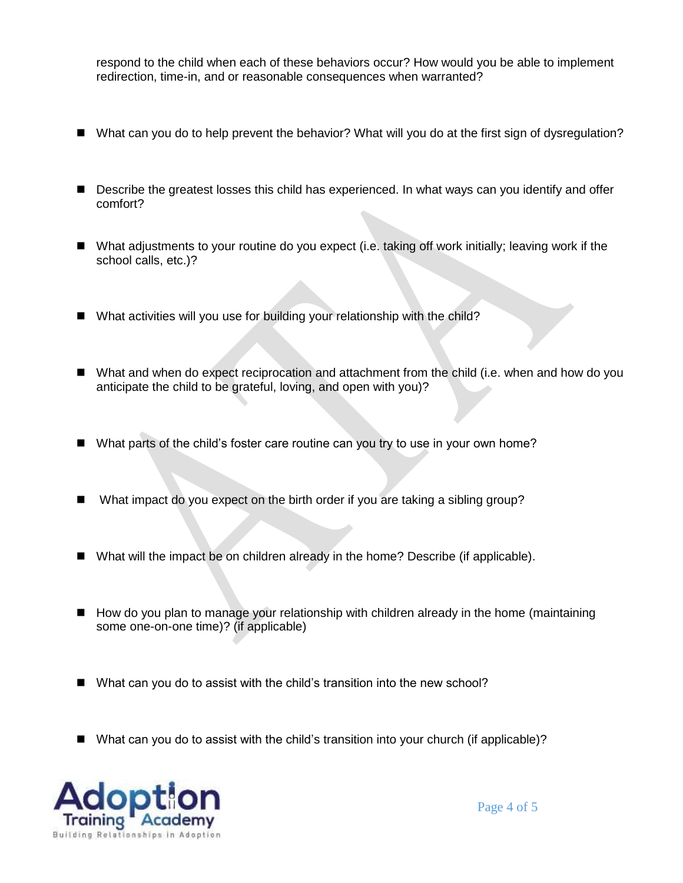respond to the child when each of these behaviors occur? How would you be able to implement redirection, time-in, and or reasonable consequences when warranted?

- What can you do to help prevent the behavior? What will you do at the first sign of dysregulation?
- Describe the greatest losses this child has experienced. In what ways can you identify and offer comfort?
- What adjustments to your routine do you expect (i.e. taking off work initially; leaving work if the school calls, etc.)?
- What activities will you use for building your relationship with the child?
- What and when do expect reciprocation and attachment from the child (i.e. when and how do you anticipate the child to be grateful, loving, and open with you)?
- What parts of the child's foster care routine can you try to use in your own home?
- What impact do you expect on the birth order if you are taking a sibling group?
- What will the impact be on children already in the home? Describe (if applicable).
- How do you plan to manage your relationship with children already in the home (maintaining some one-on-one time)? (if applicable)
- What can you do to assist with the child's transition into the new school?
- What can you do to assist with the child's transition into your church (if applicable)?